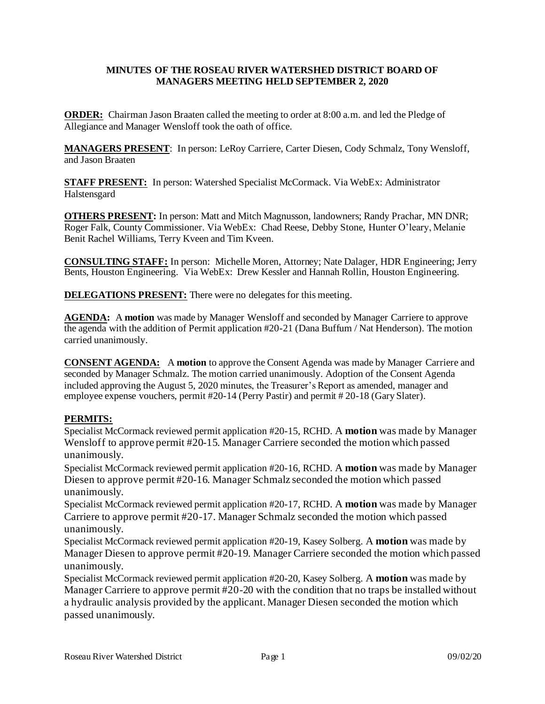## **MINUTES OF THE ROSEAU RIVER WATERSHED DISTRICT BOARD OF MANAGERS MEETING HELD SEPTEMBER 2, 2020**

**ORDER:** Chairman Jason Braaten called the meeting to order at 8:00 a.m. and led the Pledge of Allegiance and Manager Wensloff took the oath of office.

**MANAGERS PRESENT**: In person: LeRoy Carriere, Carter Diesen, Cody Schmalz, Tony Wensloff, and Jason Braaten

**STAFF PRESENT:** In person: Watershed Specialist McCormack. Via WebEx: Administrator Halstensgard

**OTHERS PRESENT:** In person: Matt and Mitch Magnusson, landowners; Randy Prachar, MN DNR; Roger Falk, County Commissioner. Via WebEx: Chad Reese, Debby Stone, Hunter O'leary, Melanie Benit Rachel Williams, Terry Kveen and Tim Kveen.

**CONSULTING STAFF:** In person: Michelle Moren, Attorney; Nate Dalager, HDR Engineering; Jerry Bents, Houston Engineering. Via WebEx: Drew Kessler and Hannah Rollin, Houston Engineering.

**DELEGATIONS PRESENT:** There were no delegates for this meeting.

AGENDA: A motion was made by Manager Wensloff and seconded by Manager Carriere to approve the agenda with the addition of Permit application #20-21 (Dana Buffum / Nat Henderson). The motion carried unanimously.

**CONSENT AGENDA:** A **motion** to approve the Consent Agenda was made by Manager Carriere and seconded by Manager Schmalz. The motion carried unanimously. Adoption of the Consent Agenda included approving the August 5, 2020 minutes, the Treasurer's Report as amended, manager and employee expense vouchers, permit #20-14 (Perry Pastir) and permit # 20-18 (Gary Slater).

# **PERMITS:**

Specialist McCormack reviewed permit application #20-15, RCHD. A **motion** was made by Manager Wensloff to approve permit #20-15. Manager Carriere seconded the motion which passed unanimously.

Specialist McCormack reviewed permit application #20-16, RCHD. A **motion** was made by Manager Diesen to approve permit #20-16. Manager Schmalz seconded the motion which passed unanimously.

Specialist McCormack reviewed permit application #20-17, RCHD. A **motion** was made by Manager Carriere to approve permit #20-17. Manager Schmalz seconded the motion which passed unanimously.

Specialist McCormack reviewed permit application #20-19, Kasey Solberg. A **motion** was made by Manager Diesen to approve permit #20-19. Manager Carriere seconded the motion which passed unanimously.

Specialist McCormack reviewed permit application #20-20, Kasey Solberg. A **motion** was made by Manager Carriere to approve permit #20-20 with the condition that no traps be installed without a hydraulic analysis provided by the applicant. Manager Diesen seconded the motion which passed unanimously.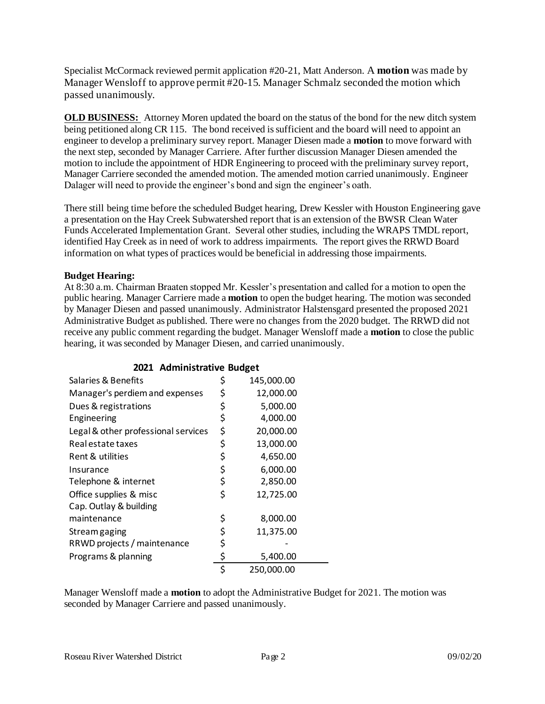Specialist McCormack reviewed permit application #20-21, Matt Anderson. A **motion** was made by Manager Wensloff to approve permit #20-15. Manager Schmalz seconded the motion which passed unanimously.

**OLD BUSINESS:** Attorney Moren updated the board on the status of the bond for the new ditch system being petitioned along CR 115. The bond received is sufficient and the board will need to appoint an engineer to develop a preliminary survey report. Manager Diesen made a **motion** to move forward with the next step, seconded by Manager Carriere. After further discussion Manager Diesen amended the motion to include the appointment of HDR Engineering to proceed with the preliminary survey report, Manager Carriere seconded the amended motion. The amended motion carried unanimously. Engineer Dalager will need to provide the engineer's bond and sign the engineer's oath.

There still being time before the scheduled Budget hearing, Drew Kessler with Houston Engineering gave a presentation on the Hay Creek Subwatershed report that is an extension of the BWSR Clean Water Funds Accelerated Implementation Grant. Several other studies, including the WRAPS TMDL report, identified Hay Creek as in need of work to address impairments. The report gives the RRWD Board information on what types of practices would be beneficial in addressing those impairments.

# **Budget Hearing:**

At 8:30 a.m. Chairman Braaten stopped Mr. Kessler's presentation and called for a motion to open the public hearing. Manager Carriere made a **motion** to open the budget hearing. The motion was seconded by Manager Diesen and passed unanimously. Administrator Halstensgard presented the proposed 2021 Administrative Budget as published. There were no changes from the 2020 budget. The RRWD did not receive any public comment regarding the budget. Manager Wensloff made a **motion** to close the public hearing, it was seconded by Manager Diesen, and carried unanimously.

|                                     | o-               |
|-------------------------------------|------------------|
| Salaries & Benefits                 | \$<br>145,000.00 |
| Manager's perdiem and expenses      | \$<br>12,000.00  |
| Dues & registrations                | \$<br>5,000.00   |
| Engineering                         | \$<br>4,000.00   |
| Legal & other professional services | \$<br>20,000.00  |
| Real estate taxes                   | \$<br>13,000.00  |
| Rent & utilities                    | \$<br>4,650.00   |
| Insurance                           | \$<br>6,000.00   |
| Telephone & internet                | \$<br>2,850.00   |
| Office supplies & misc              | \$<br>12,725.00  |
| Cap. Outlay & building              |                  |
| maintenance                         | \$<br>8,000.00   |
| Stream gaging                       | \$<br>11,375.00  |
| RRWD projects / maintenance         | \$               |
| Programs & planning                 | \$<br>5,400.00   |
|                                     | \$<br>250,000.00 |

### **2021 Administrative Budget**

Manager Wensloff made a **motion** to adopt the Administrative Budget for 2021. The motion was seconded by Manager Carriere and passed unanimously.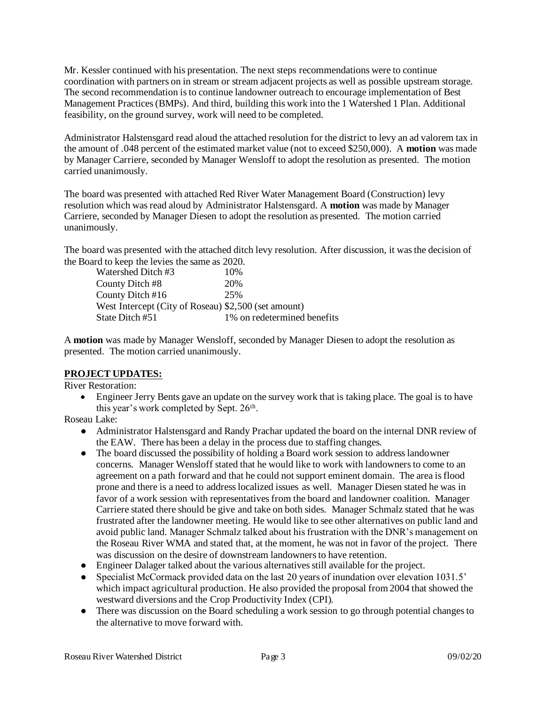Mr. Kessler continued with his presentation. The next steps recommendations were to continue coordination with partners on in stream or stream adjacent projects as well as possible upstream storage. The second recommendation is to continue landowner outreach to encourage implementation of Best Management Practices (BMPs). And third, building this work into the 1 Watershed 1 Plan. Additional feasibility, on the ground survey, work will need to be completed.

Administrator Halstensgard read aloud the attached resolution for the district to levy an ad valorem tax in the amount of .048 percent of the estimated market value (not to exceed \$250,000). A **motion** was made by Manager Carriere, seconded by Manager Wensloff to adopt the resolution as presented. The motion carried unanimously.

The board was presented with attached Red River Water Management Board (Construction) levy resolution which was read aloud by Administrator Halstensgard. A **motion** was made by Manager Carriere, seconded by Manager Diesen to adopt the resolution as presented. The motion carried unanimously.

The board was presented with the attached ditch levy resolution. After discussion, it was the decision of the Board to keep the levies the same as 2020.

| Watershed Ditch #3                                   | 10%                         |
|------------------------------------------------------|-----------------------------|
| County Ditch #8                                      | 20%                         |
| County Ditch #16                                     | 25%                         |
| West Intercept (City of Roseau) \$2,500 (set amount) |                             |
| State Ditch #51                                      | 1% on redetermined benefits |
|                                                      |                             |

A **motion** was made by Manager Wensloff, seconded by Manager Diesen to adopt the resolution as presented. The motion carried unanimously.

# **PROJECT UPDATES:**

River Restoration:

• Engineer Jerry Bents gave an update on the survey work that is taking place. The goal is to have this year's work completed by Sept. 26<sup>th</sup>.

Roseau Lake:

- Administrator Halstensgard and Randy Prachar updated the board on the internal DNR review of the EAW. There has been a delay in the process due to staffing changes.
- The board discussed the possibility of holding a Board work session to address landowner concerns. Manager Wensloff stated that he would like to work with landowners to come to an agreement on a path forward and that he could not support eminent domain. The area is flood prone and there is a need to address localized issues as well. Manager Diesen stated he was in favor of a work session with representatives from the board and landowner coalition. Manager Carriere stated there should be give and take on both sides. Manager Schmalz stated that he was frustrated after the landowner meeting. He would like to see other alternatives on public land and avoid public land. Manager Schmalz talked about his frustration with the DNR's management on the Roseau River WMA and stated that, at the moment, he was not in favor of the project. There was discussion on the desire of downstream landowners to have retention.
- Engineer Dalager talked about the various alternatives still available for the project.
- Specialist McCormack provided data on the last 20 years of inundation over elevation 1031.5' which impact agricultural production. He also provided the proposal from 2004 that showed the westward diversions and the Crop Productivity Index (CPI).
- There was discussion on the Board scheduling a work session to go through potential changes to the alternative to move forward with.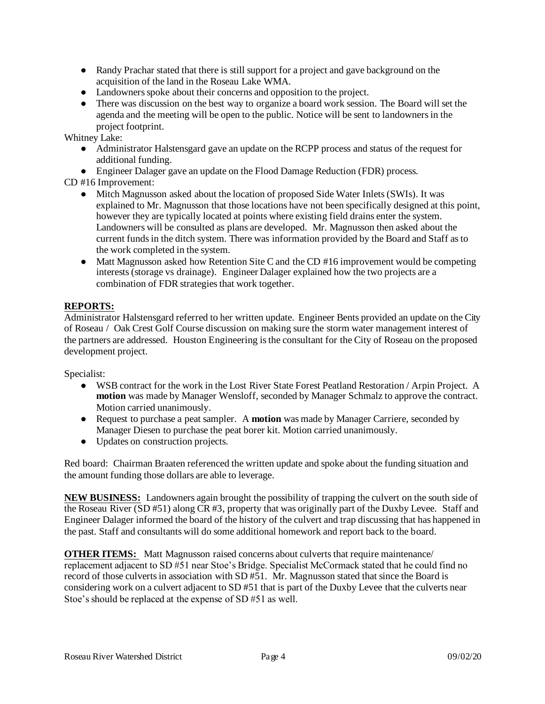- Randy Prachar stated that there is still support for a project and gave background on the acquisition of the land in the Roseau Lake WMA.
- Landowners spoke about their concerns and opposition to the project.
- There was discussion on the best way to organize a board work session. The Board will set the agenda and the meeting will be open to the public. Notice will be sent to landowners in the project footprint.

Whitney Lake:

- Administrator Halstensgard gave an update on the RCPP process and status of the request for additional funding.
- Engineer Dalager gave an update on the Flood Damage Reduction (FDR) process.

CD #16 Improvement:

- Mitch Magnusson asked about the location of proposed Side Water Inlets (SWIs). It was explained to Mr. Magnusson that those locations have not been specifically designed at this point, however they are typically located at points where existing field drains enter the system. Landowners will be consulted as plans are developed. Mr. Magnusson then asked about the current funds in the ditch system. There was information provided by the Board and Staff as to the work completed in the system.
- Matt Magnusson asked how Retention Site C and the CD #16 improvement would be competing interests (storage vs drainage). Engineer Dalager explained how the two projects are a combination of FDR strategies that work together.

# **REPORTS:**

Administrator Halstensgard referred to her written update. Engineer Bents provided an update on the City of Roseau / Oak Crest Golf Course discussion on making sure the storm water management interest of the partners are addressed. Houston Engineering is the consultant for the City of Roseau on the proposed development project.

Specialist:

- WSB contract for the work in the Lost River State Forest Peatland Restoration / Arpin Project. A **motion** was made by Manager Wensloff, seconded by Manager Schmalz to approve the contract. Motion carried unanimously.
- Request to purchase a peat sampler. A **motion** was made by Manager Carriere, seconded by Manager Diesen to purchase the peat borer kit. Motion carried unanimously.
- Updates on construction projects.

Red board: Chairman Braaten referenced the written update and spoke about the funding situation and the amount funding those dollars are able to leverage.

**NEW BUSINESS:** Landowners again brought the possibility of trapping the culvert on the south side of the Roseau River (SD #51) along CR #3, property that was originally part of the Duxby Levee. Staff and Engineer Dalager informed the board of the history of the culvert and trap discussing that has happened in the past. Staff and consultants will do some additional homework and report back to the board.

**OTHER ITEMS:** Matt Magnusson raised concerns about culverts that require maintenance/ replacement adjacent to SD #51 near Stoe's Bridge. Specialist McCormack stated that he could find no record of those culverts in association with SD #51. Mr. Magnusson stated that since the Board is considering work on a culvert adjacent to SD #51 that is part of the Duxby Levee that the culverts near Stoe's should be replaced at the expense of SD #51 as well.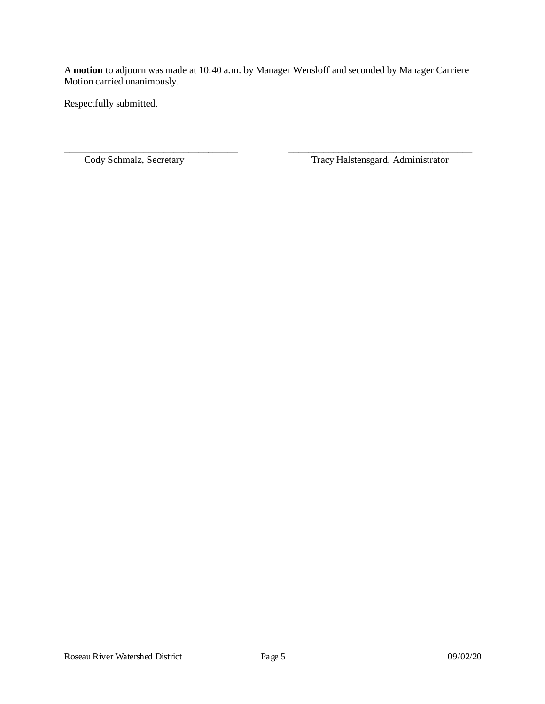A **motion** to adjourn was made at 10:40 a.m. by Manager Wensloff and seconded by Manager Carriere Motion carried unanimously.

\_\_\_\_\_\_\_\_\_\_\_\_\_\_\_\_\_\_\_\_\_\_\_\_\_\_\_\_\_\_\_\_\_\_\_ \_\_\_\_\_\_\_\_\_\_\_\_\_\_\_\_\_\_\_\_\_\_\_\_\_\_\_\_\_\_\_\_\_\_\_\_\_

Respectfully submitted,

Cody Schmalz, Secretary Tracy Halstensgard, Administrator